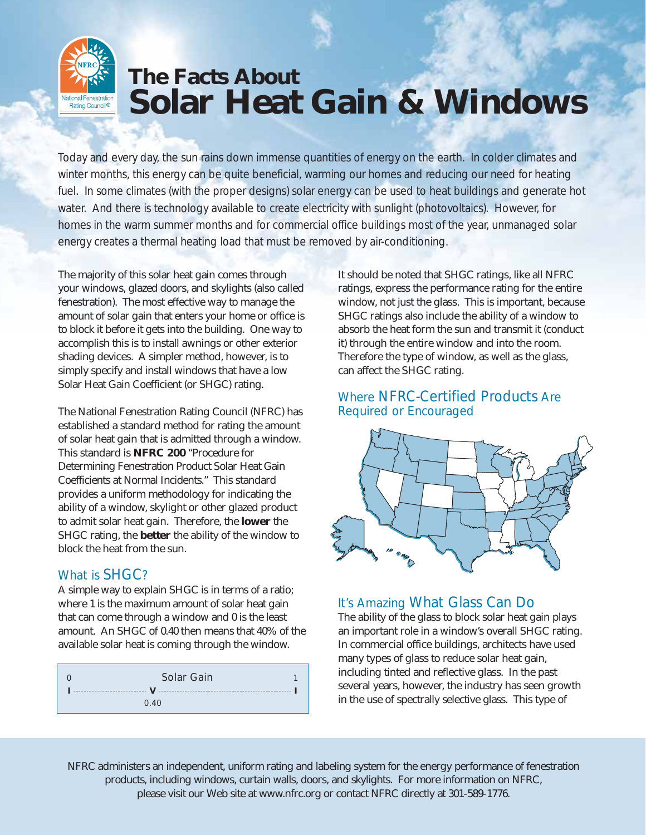# **The Facts About Solar Heat Gain & Windows**

Today and every day, the sun rains down immense quantities of energy on the earth. In colder climates and winter months, this energy can be quite beneficial, warming our homes and reducing our need for heating fuel. In some climates (with the proper designs) solar energy can be used to heat buildings and generate hot water. And there is technology available to create electricity with sunlight (photovoltaics). However, for homes in the warm summer months and for commercial office buildings most of the year, unmanaged solar energy creates a thermal heating load that must be removed by air-conditioning.

The majority of this solar heat gain comes through your windows, glazed doors, and skylights (also called fenestration). The most effective way to manage the amount of solar gain that enters your home or office is to block it before it gets into the building. One way to accomplish this is to install awnings or other exterior shading devices. A simpler method, however, is to simply specify and install windows that have a low Solar Heat Gain Coefficient (or SHGC) rating.

The National Fenestration Rating Council (NFRC) has established a standard method for rating the amount of solar heat gain that is admitted through a window. This standard is **NFRC 200** "*Procedure for Determining Fenestration Product Solar Heat Gain Coefficients at Normal Incidents*." This standard provides a uniform methodology for indicating the ability of a window, skylight or other glazed product to admit solar heat gain. Therefore, the **lower** the SHGC rating, the **better** the ability of the window to block the heat from the sun.

## What is SHGC?

Vational Fenestration<br>Rating Council®

A simple way to explain SHGC is in terms of a ratio; where 1 is the maximum amount of solar heat gain that can come through a window and 0 is the least amount. An SHGC of 0.40 then means that 40% of the available solar heat is coming through the window.

| Solar Gain |  |
|------------|--|
|            |  |
| 0.40       |  |

It should be noted that SHGC ratings, like all NFRC ratings, express the performance rating for the entire window, not just the glass. This is important, because SHGC ratings also include the ability of a window to absorb the heat form the sun and transmit it (conduct it) through the entire window and into the room. Therefore the type of window, as well as the glass, can affect the SHGC rating.

### Where NFRC-Certified Products Are Required or Encouraged



# It's Amazing What Glass Can Do

The ability of the glass to block solar heat gain plays an important role in a window's overall SHGC rating. In commercial office buildings, architects have used many types of glass to reduce solar heat gain, including tinted and reflective glass. In the past several years, however, the industry has seen growth in the use of *spectrally selective glass*. This type of

*NFRC administers an independent, uniform rating and labeling system for the energy performance of fenestration products, including windows, curtain walls, doors, and skylights. For more information on NFRC, please visit our Web site at www.nfrc.org or contact NFRC directly at 301-589-1776.*